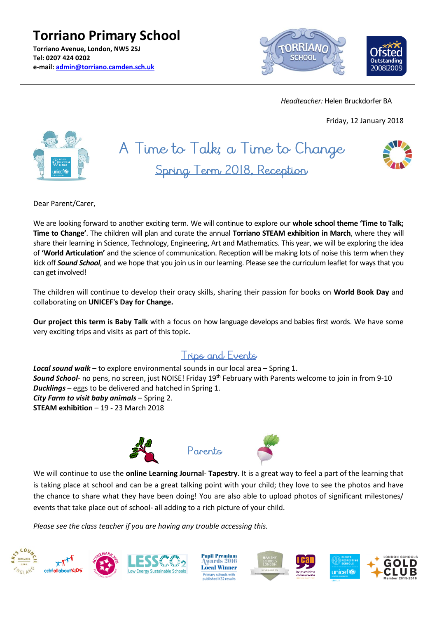**Torriano Primary School Torriano Avenue, London, NW5 2SJ Tel: 0207 424 0202 e-mail: [admin@torriano.camden.sch.uk](mailto:admin@torriano.camden.sch.uk)**



 *Headteacher:* Helen Bruckdorfer BA

Friday, 12 January 2018



# A Time to Talk; a Time to Change Spring Term 2018, Reception



Dear Parent/Carer,

We are looking forward to another exciting term. We will continue to explore our **whole school theme 'Time to Talk; Time to Change'**. The children will plan and curate the annual **Torriano STEAM exhibition in March**, where they will share their learning in Science, Technology, Engineering, Art and Mathematics. This year, we will be exploring the idea of **'World Articulation'** and the science of communication. Reception will be making lots of noise this term when they kick off *Sound School*, and we hope that you join us in our learning. Please see the curriculum leaflet for ways that you can get involved!

The children will continue to develop their oracy skills, sharing their passion for books on **World Book Day** and collaborating on **UNICEF's Day for Change.**

**Our project this term is Baby Talk** with a focus on how language develops and babies first words. We have some very exciting trips and visits as part of this topic.

## Trips and Events

*Local sound walk* – to explore environmental sounds in our local area – Spring 1. *Sound School*- no pens, no screen, just NOISE! Friday 19th February with Parents welcome to join in from 9-10 *Ducklings* – eggs to be delivered and hatched in Spring 1. *City Farm to visit baby animals* – Spring 2. **STEAM exhibition** – 19 - 23 March 2018







We will continue to use the **online Learning Journal**- **Tapestry**. It is a great way to feel a part of the learning that is taking place at school and can be a great talking point with your child; they love to see the photos and have the chance to share what they have been doing! You are also able to upload photos of significant milestones/ events that take place out of school- all adding to a rich picture of your child.

*Please see the class teacher if you are having any trouble accessing this.*

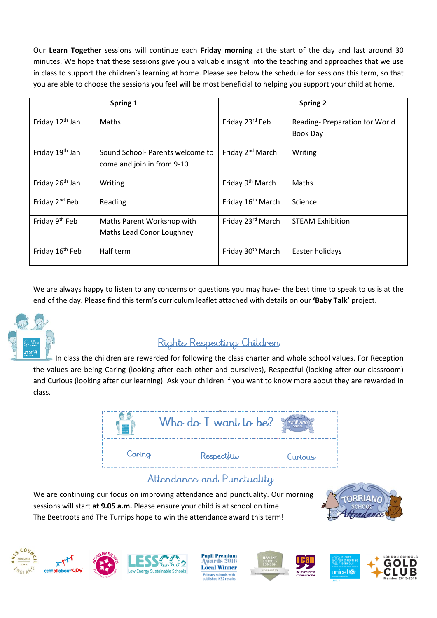Our **Learn Together** sessions will continue each **Friday morning** at the start of the day and last around 30 minutes. We hope that these sessions give you a valuable insight into the teaching and approaches that we use in class to support the children's learning at home. Please see below the schedule for sessions this term, so that you are able to choose the sessions you feel will be most beneficial to helping you support your child at home.

| Spring 1                    |                                                                | <b>Spring 2</b>               |                                                  |
|-----------------------------|----------------------------------------------------------------|-------------------------------|--------------------------------------------------|
| Friday 12 <sup>th</sup> Jan | Maths                                                          | Friday 23rd Feb               | Reading-Preparation for World<br><b>Book Day</b> |
| Friday 19 <sup>th</sup> Jan | Sound School- Parents welcome to<br>come and join in from 9-10 | Friday 2 <sup>nd</sup> March  | Writing                                          |
| Friday 26 <sup>th</sup> Jan | Writing                                                        | Friday 9 <sup>th</sup> March  | Maths                                            |
| Friday 2 <sup>nd</sup> Feb  | Reading                                                        | Friday 16 <sup>th</sup> March | Science                                          |
| Friday 9 <sup>th</sup> Feb  | Maths Parent Workshop with<br>Maths Lead Conor Loughney        | Friday 23rd March             | <b>STEAM Exhibition</b>                          |
| Friday 16 <sup>th</sup> Feb | Half term                                                      | Friday 30 <sup>th</sup> March | Easter holidays                                  |

We are always happy to listen to any concerns or questions you may have- the best time to speak to us is at the end of the day. Please find this term's curriculum leaflet attached with details on our **'Baby Talk'** project.



## Rights Respecting Children

 In class the children are rewarded for following the class charter and whole school values. For Reception the values are being Caring (looking after each other and ourselves), Respectful (looking after our classroom) and Curious (looking after our learning). Ask your children if you want to know more about they are rewarded in class.



## Attendance and Punctuality

We are continuing our focus on improving attendance and punctuality. Our morning sessions will start **at 9.05 a.m.** Please ensure your child is at school on time. The Beetroots and The Turnips hope to win the attendance award this term!







**Pupil Premium** wards 2016 **Local Winner** ry schools<br>hed KS2 re